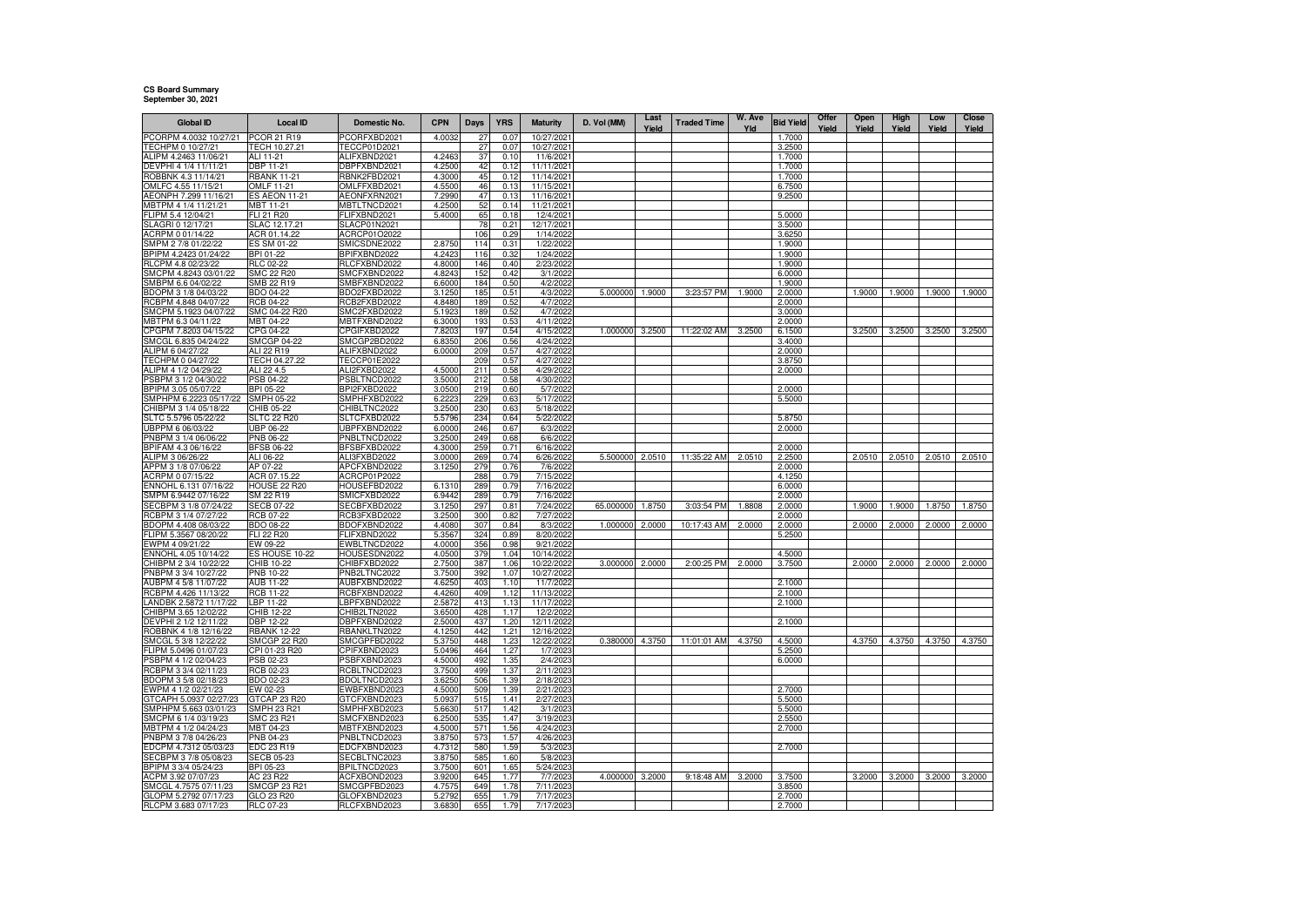## **CS Board Summary September 30, 2021**

| <b>Global ID</b>                               | Local ID                           | Domestic No.                 | <b>CPN</b>       | Days       | <b>YRS</b>   | <b>Maturity</b>          | D. Vol (MM) | Last   | <b>Traded Time</b> | W. Ave | <b>Bid Yield</b> | Offer | Open   | High   | Low    | Close  |
|------------------------------------------------|------------------------------------|------------------------------|------------------|------------|--------------|--------------------------|-------------|--------|--------------------|--------|------------------|-------|--------|--------|--------|--------|
| PCORPM 4.0032 10/27/21                         | PCOR 21 R19                        | PCORFXBD2021                 | 4.0032           | 27         | 0.07         | 10/27/2021               |             | Yield  |                    | Yld    | 1.7000           | Yield | Yield  | Yield  | Yield  | Yield  |
| TECHPM 0 10/27/21                              | TECH 10.27.21                      | TECCP01D2021                 |                  | 27         | 0.07         | 10/27/2021               |             |        |                    |        | 3.2500           |       |        |        |        |        |
| ALIPM 4.2463 11/06/21                          | ALI 11-21                          | ALIFXBND2021                 | 4.246            | 37         | 0.10         | 11/6/2021                |             |        |                    |        | 1.7000           |       |        |        |        |        |
| DEVPHI 4 1/4 11/11/21                          | DBP 11-21                          | DBPFXBND2021                 | 4.2500           | 42         | 0.12         | 11/11/2021               |             |        |                    |        | 1.7000           |       |        |        |        |        |
| ROBBNK 4.3 11/14/21                            | <b>RBANK 11-21</b>                 | RBNK2FBD2021                 | 4.3000           | 45         | 0.12         | 11/14/2021               |             |        |                    |        | 1.7000           |       |        |        |        |        |
| OMLFC 4.55 11/15/21<br>AEONPH 7.299 11/16/21   | OMLF 11-21<br><b>ES AEON 11-21</b> | OMLFFXBD2021<br>AEONFXRN2021 | 4.5500<br>7.2990 | 46<br>47   | 0.13<br>0.13 | 11/15/2021<br>11/16/2021 |             |        |                    |        | 6.7500<br>9.2500 |       |        |        |        |        |
| MBTPM 4 1/4 11/21/21                           | MBT 11-21                          | MBTLTNCD2021                 | 4.2500           | 52         | 0.14         | 11/21/2021               |             |        |                    |        |                  |       |        |        |        |        |
| FLIPM 5.4 12/04/21                             | <b>FLI 21 R20</b>                  | FLIFXBND2021                 | 5.4000           | 65         | 0.18         | 12/4/2021                |             |        |                    |        | 5.0000           |       |        |        |        |        |
| SLAGRI 0 12/17/21                              | SLAC 12.17.21                      | SLACP01N2021                 |                  | 78         | 0.21         | 12/17/2021               |             |        |                    |        | 3.5000           |       |        |        |        |        |
| ACRPM 0 01/14/22                               | ACR 01.14.22                       | ACRCP01O2022                 |                  | 106        | 0.29         | 1/14/2022                |             |        |                    |        | 3.6250           |       |        |        |        |        |
| SMPM 2 7/8 01/22/22                            | ES SM 01-22                        | SMICSDNE2022                 | 2.8750           | 114        | 0.31         | 1/22/2022                |             |        |                    |        | 1.9000           |       |        |        |        |        |
| BPIPM 4.2423 01/24/22<br>RLCPM 4.8 02/23/22    | BPI 01-22<br>RLC 02-22             | BPIFXBND2022<br>RLCFXBND2022 | 4.242<br>4.8000  | 116<br>146 | 0.32<br>0.40 | 1/24/2022<br>2/23/2022   |             |        |                    |        | 1.9000<br>1.9000 |       |        |        |        |        |
| SMCPM 4.8243 03/01/22                          | SMC 22 R20                         | SMCFXBND2022                 | 4.8243           | 152        | 0.42         | 3/1/2022                 |             |        |                    |        | 6.0000           |       |        |        |        |        |
| SMBPM 6.6 04/02/22                             | SMB 22 R19                         | SMBFXBND2022                 | 6.6000           | 184        | 0.50         | 4/2/2022                 |             |        |                    |        | 1.9000           |       |        |        |        |        |
| BDOPM 3 1/8 04/03/22                           | BDO 04-22                          | BDO2FXBD2022                 | 3.1250           | 185        | 0.51         | 4/3/2022                 | 5.000000    | 1.9000 | 3:23:57 PM         | 1.9000 | 2.0000           |       | 1.9000 | 1.9000 | 1.9000 | 1.9000 |
| RCBPM 4.848 04/07/22                           | RCB 04-22                          | RCB2FXBD2022                 | 4.8480           | 189        | 0.52         | 4/7/202                  |             |        |                    |        | 2.0000           |       |        |        |        |        |
| SMCPM 5.1923 04/07/22                          | SMC 04-22 R20                      | SMC2FXBD2022                 | 5.1923           | 189        | 0.52         | 4/7/2022                 |             |        |                    |        | 3.0000           |       |        |        |        |        |
| MBTPM 6.3 04/11/22                             | MBT 04-22                          | MBTFXBND2022                 | 6.3000           | 193        | 0.53         | 4/11/2022                |             |        |                    |        | 2.0000           |       |        |        |        |        |
| CPGPM 7.8203 04/15/22<br>SMCGL 6.835 04/24/22  | CPG 04-22<br><b>SMCGP 04-22</b>    | CPGIFXBD2022<br>SMCGP2BD2022 | 7.8203<br>6.8350 | 197<br>206 | 0.54<br>0.56 | 4/15/202<br>4/24/2022    | 1.000000    | 3.2500 | 11:22:02 AM        | 3.2500 | 6.1500<br>3.4000 |       | 3.2500 | 3.2500 | 3.2500 | 3.2500 |
| ALIPM 6 04/27/22                               | <b>ALI 22 R19</b>                  | ALIFXBND2022                 | 6.0000           | 209        | 0.57         | 4/27/2022                |             |        |                    |        | 2.0000           |       |        |        |        |        |
| TECHPM 0 04/27/22                              | TECH 04.27.22                      | TECCP01E2022                 |                  | 209        | 0.57         | 4/27/2022                |             |        |                    |        | 3.8750           |       |        |        |        |        |
| ALIPM 4 1/2 04/29/22                           | ALI 22 4.5                         | ALI2FXBD2022                 | 4.5000           | 211        | 0.58         | 4/29/2022                |             |        |                    |        | 2.0000           |       |        |        |        |        |
| PSBPM 3 1/2 04/30/22                           | PSB 04-22                          | PSBLTNCD2022                 | 3.5000           | 212        | 0.58         | 4/30/2022                |             |        |                    |        |                  |       |        |        |        |        |
| BPIPM 3.05 05/07/22                            | BPI 05-22                          | BPI2FXBD2022                 | 3.0500           | 219        | 0.60         | 5/7/2022                 |             |        |                    |        | 2.0000           |       |        |        |        |        |
| SMPHPM 6.2223 05/17/22                         | <b>SMPH 05-22</b>                  | SMPHFXBD2022                 | 6.2223           | 229        | 0.63         | 5/17/2022                |             |        |                    |        | 5.5000           |       |        |        |        |        |
| CHIBPM 3 1/4 05/18/22<br>SLTC 5.5796 05/22/22  | CHIB 05-22<br>SLTC 22 R20          | CHIBLTNC2022<br>SLTCFXBD2022 | 3.2500<br>5.5796 | 230<br>234 | 0.63<br>0.64 | 5/18/2022<br>5/22/2022   |             |        |                    |        | 5.8750           |       |        |        |        |        |
| UBPPM 6 06/03/22                               | UBP 06-22                          | UBPFXBND2022                 | 6.0000           | 246        | 0.67         | 6/3/2022                 |             |        |                    |        | 2.0000           |       |        |        |        |        |
| PNBPM 3 1/4 06/06/22                           | PNB 06-22                          | PNBLTNCD2022                 | 3.2500           | 249        | 0.68         | 6/6/2022                 |             |        |                    |        |                  |       |        |        |        |        |
| BPIFAM 4.3 06/16/22                            | <b>BFSB 06-22</b>                  | BFSBFXBD2022                 | 4.3000           | 259        | 0.71         | 6/16/2022                |             |        |                    |        | 2.0000           |       |        |        |        |        |
| ALIPM 3 06/26/22                               | ALI 06-22                          | ALI3FXBD2022                 | 3.0000           | 269        | 0.74         | 6/26/2022                | 5.500000    | 2.0510 | 11:35:22 AM        | 2.0510 | 2.2500           |       | 2.0510 | 2.0510 | 2.0510 | 2.0510 |
| APPM 3 1/8 07/06/22                            | AP 07-22                           | APCFXBND2022                 | 3.1250           | 279        | 0.76         | 7/6/2022                 |             |        |                    |        | 2.0000           |       |        |        |        |        |
| ACRPM 0 07/15/22<br>ENNOHL 6.131 07/16/22      | ACR 07.15.22<br>HOUSE 22 R20       | ACRCP01P2022<br>HOUSEFBD2022 | 6.1310           | 288<br>289 | 0.79<br>0.79 | 7/15/2022<br>7/16/2022   |             |        |                    |        | 4.1250<br>6.0000 |       |        |        |        |        |
| SMPM 6.9442 07/16/22                           | SM 22 R19                          | SMICFXBD2022                 | 6.9442           | 289        | 0.79         | 7/16/2022                |             |        |                    |        | 2.0000           |       |        |        |        |        |
| SECBPM 3 1/8 07/24/22                          | <b>SECB 07-22</b>                  | SECBFXBD2022                 | 3.1250           | 297        | 0.81         | 7/24/2022                | 65.000000   | 1.8750 | 3:03:54 PM         | 1.8808 | 2.0000           |       | 1.9000 | 1.9000 | 1.8750 | 1.8750 |
| RCBPM 3 1/4 07/27/22                           | RCB 07-22                          | RCB3FXBD2022                 | 3.2500           | 300        | 0.82         | 7/27/2022                |             |        |                    |        | 2.0000           |       |        |        |        |        |
| BDOPM 4.408 08/03/22                           | <b>BDO 08-22</b>                   | BDOFXBND2022                 | 4.4080           | 307        | 0.84         | 8/3/2022                 | 1.000000    | 2.0000 | 10:17:43 AM        | 2.0000 | 2.0000           |       | 2.0000 | 2.0000 | 2.0000 | 2.0000 |
| FLIPM 5.3567 08/20/22                          | FLI 22 R20<br>EW 09-22             | FLIFXBND2022                 | 5.3567           | 324        | 0.89         | 8/20/2022                |             |        |                    |        | 5.2500           |       |        |        |        |        |
| EWPM 4 09/21/22<br>ENNOHL 4.05 10/14/22        | ES HOUSE 10-22                     | EWBLTNCD2022<br>HOUSESDN2022 | 4.0000<br>4.0500 | 356<br>379 | 0.98<br>1.04 | 9/21/2022<br>10/14/2022  |             |        |                    |        | 4.5000           |       |        |        |        |        |
| CHIBPM 2 3/4 10/22/22                          | CHIB 10-22                         | CHIBFXBD2022                 | 2.7500           | 387        | 1.06         | 10/22/2022               | 3.000000    | 2.0000 | 2:00:25 PM         | 2.0000 | 3.7500           |       | 2.0000 | 2.0000 | 2.0000 | 2.0000 |
| PNBPM 3 3/4 10/27/22                           | PNB 10-22                          | PNB2LTNC2022                 | 3.7500           | 392        | 1.07         | 10/27/202                |             |        |                    |        |                  |       |        |        |        |        |
| AUBPM 4 5/8 11/07/22                           | AUB 11-22                          | AUBFXBND2022                 | 4.6250           | 403        | 1.10         | 11/7/2022                |             |        |                    |        | 2.1000           |       |        |        |        |        |
| RCBPM 4.426 11/13/22                           | RCB 11-22                          | RCBFXBND2022                 | 4.4260           | 409        | 1.12         | 11/13/2022               |             |        |                    |        | 2.1000           |       |        |        |        |        |
| LANDBK 2.5872 11/17/22                         | LBP 11-22                          | LBPFXBND2022                 | 2.5872           | 413        | 1.13         | 11/17/2022<br>12/2/2022  |             |        |                    |        | 2.1000           |       |        |        |        |        |
| CHIBPM 3.65 12/02/22<br>DEVPHI 2 1/2 12/11/22  | CHIB 12-22<br>DBP 12-22            | CHIB2LTN2022<br>DBPFXBND2022 | 3.6500<br>2.5000 | 428<br>437 | 1.17<br>1.20 | 12/11/2022               |             |        |                    |        | 2.1000           |       |        |        |        |        |
| ROBBNK 4 1/8 12/16/22                          | <b>RBANK 12-22</b>                 | RBANKLTN2022                 | 4.1250           | 442        | 1.21         | 12/16/2022               |             |        |                    |        |                  |       |        |        |        |        |
| SMCGL 5 3/8 12/22/22                           | SMCGP 22 R20                       | SMCGPFBD2022                 | 5.3750           | 448        | 1.23         | 12/22/2022               | 0.380000    | 4.3750 | 11:01:01 AM        | 4.3750 | 4.5000           |       | 4.3750 | 4.3750 | 4.3750 | 4.3750 |
| FLIPM 5.0496 01/07/23                          | CPI 01-23 R20                      | CPIFXBND2023                 | 5.0496           | 464        | 1.27         | 1/7/2023                 |             |        |                    |        | 5.2500           |       |        |        |        |        |
| PSBPM 4 1/2 02/04/23                           | PSB 02-23                          | PSBFXBND2023                 | 4.5000           | 492        | 1.35         | 2/4/2023                 |             |        |                    |        | 6.0000           |       |        |        |        |        |
| RCBPM 3 3/4 02/11/23                           | RCB 02-23                          | RCBLTNCD2023                 | 3.7500           | 499        | 1.37         | 2/11/2023                |             |        |                    |        |                  |       |        |        |        |        |
| BDOPM 3 5/8 02/18/23<br>EWPM 4 1/2 02/21/23    | BDO 02-23<br>EW 02-23              | BDOLTNCD2023<br>EWBFXBND2023 | 3.6250<br>4.5000 | 506<br>509 | 1.39<br>1.39 | 2/18/2023<br>2/21/2023   |             |        |                    |        | 2.7000           |       |        |        |        |        |
| GTCAPH 5.0937 02/27/23                         | GTCAP 23 R20                       | GTCFXBND2023                 | 5.093            | 515        | 1.41         | 2/27/2023                |             |        |                    |        | 5.5000           |       |        |        |        |        |
| SMPHPM 5.663 03/01/23                          | SMPH 23 R21                        | SMPHFXBD2023                 | 5.6630           | 517        | 1.42         | 3/1/2023                 |             |        |                    |        | 5.5000           |       |        |        |        |        |
| SMCPM 6 1/4 03/19/23                           | SMC 23 R21                         | SMCFXBND2023                 | 6.2500           | 535        | 1.47         | 3/19/2023                |             |        |                    |        | 2.5500           |       |        |        |        |        |
| MBTPM 4 1/2 04/24/23                           | MBT 04-23                          | MBTFXBND2023                 | 4.5000           | 571        | 1.56         | 4/24/2023                |             |        |                    |        | 2.7000           |       |        |        |        |        |
| PNBPM 3 7/8 04/26/23                           | PNB 04-23                          | PNBLTNCD2023                 | 3.8750           | 573        | 1.57         | 4/26/2023                |             |        |                    |        |                  |       |        |        |        |        |
| EDCPM 4.7312 05/03/23<br>SECBPM 3 7/8 05/08/23 | EDC 23 R19<br>SECB 05-23           | EDCFXBND2023<br>SECBLTNC2023 | 4.7312<br>3.8750 | 580<br>585 | 1.59<br>1.60 | 5/3/2023<br>5/8/2023     |             |        |                    |        | 2.7000           |       |        |        |        |        |
| BPIPM 3 3/4 05/24/23                           | BPI 05-23                          | BPILTNCD2023                 | 3.7500           | 601        | 1.65         | 5/24/2023                |             |        |                    |        |                  |       |        |        |        |        |
| ACPM 3.92 07/07/23                             | AC 23 R22                          | ACFXBOND2023                 | 3.9200           | 645        | 1.77         | 7/7/2023                 | 4.000000    | 3.2000 | 9:18:48 AM         | 3.2000 | 3.7500           |       | 3.2000 | 3.2000 | 3.2000 | 3.2000 |
| SMCGL 4.7575 07/11/23                          | <b>SMCGP 23 R21</b>                | SMCGPFBD2023                 | 4.7575           | 649        | 1.78         | 7/11/2023                |             |        |                    |        | 3.8500           |       |        |        |        |        |
| GLOPM 5.2792 07/17/23                          | GLO 23 R20                         | GLOFXBND2023                 | 5.2792           | 655        | 1.79         | 7/17/2023                |             |        |                    |        | 2.7000           |       |        |        |        |        |
| RLCPM 3.683 07/17/23                           | RLC 07-23                          | RLCFXBND2023                 | 3.6830           | 655        | 1.79         | 7/17/2023                |             |        |                    |        | 2.7000           |       |        |        |        |        |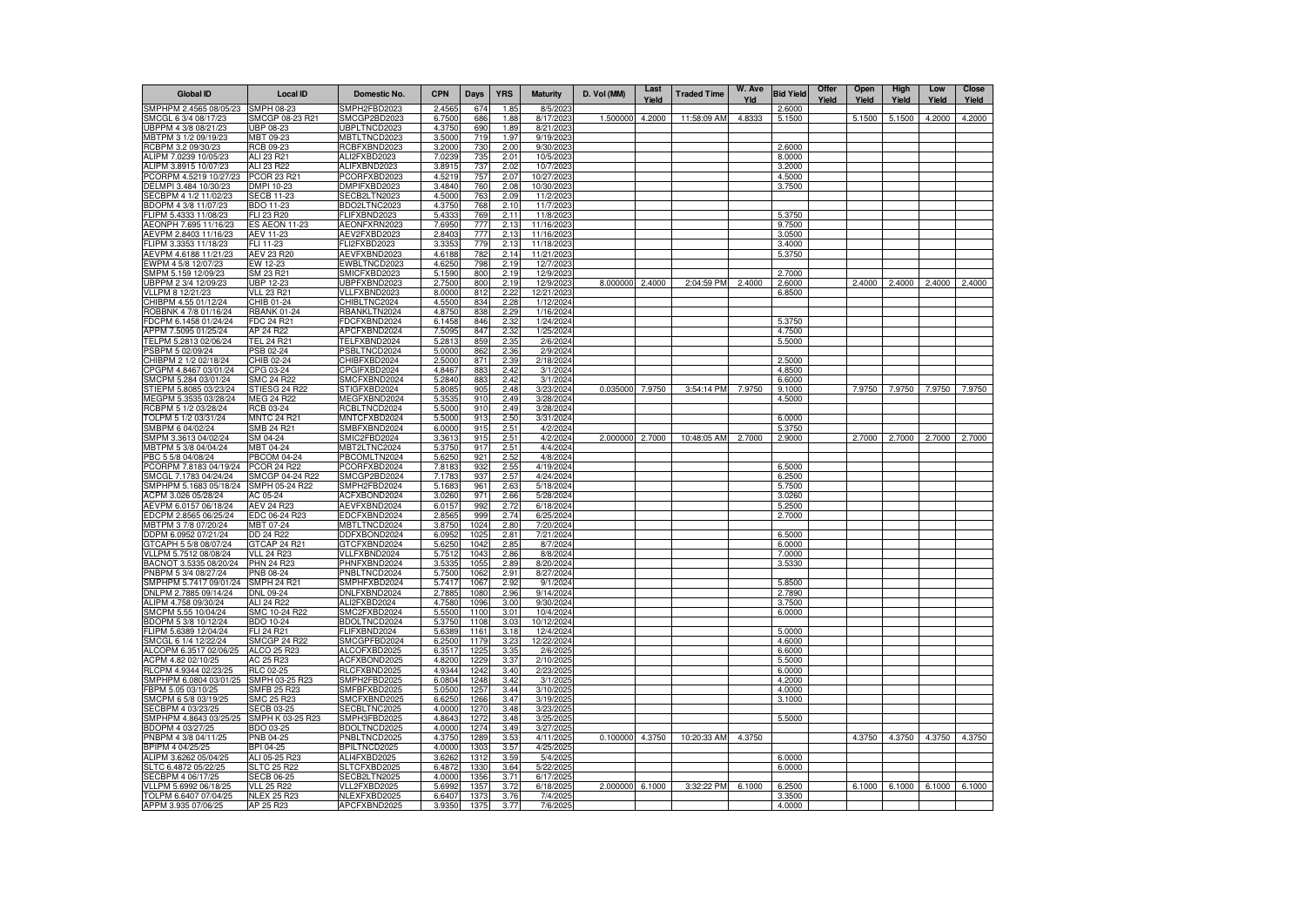| <b>Global ID</b>                                | <b>Local ID</b>                          | Domestic No.                 | <b>CPN</b>       | <b>Days</b>  | <b>YRS</b>       | <b>Maturity</b>         | D. Vol (MM) | Last<br>Yield | <b>Traded Time</b> | W. Ave<br>Yld | <b>Bid Yield</b> | Offer<br>Yield | Open<br>Yield | High<br>Yield | Low<br>Yield  | <b>Close</b><br>Yield |
|-------------------------------------------------|------------------------------------------|------------------------------|------------------|--------------|------------------|-------------------------|-------------|---------------|--------------------|---------------|------------------|----------------|---------------|---------------|---------------|-----------------------|
| SMPHPM 2.4565 08/05/23                          | SMPH 08-23                               | SMPH2FBD2023                 | 2.456            | 674          | 1.85             | 8/5/202                 |             |               |                    |               | 2.6000           |                |               |               |               |                       |
| SMCGL 6 3/4 08/17/23                            | SMCGP 08-23 R21                          | SMCGP2BD2023                 | 6.7500           | 686          | 1.88             | 8/17/2023               | 1.500000    | 4.2000        | 11:58:09 AM        | 4.8333        | 5.1500           |                | 5.1500        | 5.1500        | 4.2000        | 4.2000                |
| UBPPM 4 3/8 08/21/23                            | UBP 08-23                                | UBPLTNCD2023                 | 4.3750           | 690          | 1.89             | 8/21/2023               |             |               |                    |               |                  |                |               |               |               |                       |
| MBTPM 3 1/2 09/19/23                            | MBT 09-23                                | <b>MBTLTNCD2023</b>          | 3.5000           | 719          | 1.97             | 9/19/2023               |             |               |                    |               |                  |                |               |               |               |                       |
| RCBPM 3.2 09/30/23                              | RCB 09-23                                | RCBFXBND2023                 | 3.2000           | 730          | 2.00             | 9/30/2023               |             |               |                    |               | 2.6000           |                |               |               |               |                       |
| ALIPM 7.0239 10/05/23<br>ALIPM 3.8915 10/07/23  | ALI 23 R21<br>ALI 23 R22                 | ALI2FXBD2023<br>ALIFXBND2023 | 7.0239           | 735<br>737   | 2.01<br>2.02     | 10/5/2023<br>10/7/2023  |             |               |                    |               | 8.0000<br>3.2000 |                |               |               |               |                       |
| PCORPM 4.5219 10/27/23                          | PCOR 23 R21                              | PCORFXBD2023                 | 3.8915<br>4.5219 | 757          | 2.07             | 10/27/2023              |             |               |                    |               | 4.5000           |                |               |               |               |                       |
| DELMPI 3.484 10/30/23                           | DMPI 10-23                               | DMPIFXBD2023                 | 3.4840           | 760          | 2.08             | 10/30/2023              |             |               |                    |               | 3.7500           |                |               |               |               |                       |
| SECBPM 4 1/2 11/02/23                           | <b>SECB 11-23</b>                        | SECB2LTN2023                 | 4.5000           | 763          | 2.09             | 11/2/2023               |             |               |                    |               |                  |                |               |               |               |                       |
| BDOPM 4 3/8 11/07/23                            | BDO 11-23                                | BDO2LTNC2023                 | 4.3750           | 768          | 2.10             | 11/7/2023               |             |               |                    |               |                  |                |               |               |               |                       |
| FLIPM 5.4333 11/08/23                           | FLI 23 R20                               | FLIFXBND2023                 | 5.4333           | 769          | 2.11             | 11/8/2023               |             |               |                    |               | 5.3750           |                |               |               |               |                       |
| AEONPH 7.695 11/16/23                           | ES AEON 11-23                            | AEONFXRN2023                 | 7.6950           | 777          | 2.13             | 11/16/2023              |             |               |                    |               | 9.7500           |                |               |               |               |                       |
| AEVPM 2.8403 11/16/23                           | AEV 11-23                                | AEV2FXBD2023                 | 2.8403           | 777          | 2.13             | 11/16/2023              |             |               |                    |               | 3.0500           |                |               |               |               |                       |
| FLIPM 3.3353 11/18/23                           | FLI 11-23                                | FLI2FXBD2023                 | 3.3353           | 779          | 2.13             | 11/18/2023              |             |               |                    |               | 3.4000           |                |               |               |               |                       |
| AEVPM 4.6188 11/21/23                           | AEV 23 R20                               | AEVFXBND2023                 | 4.6188           | 782          | 2.14             | 11/21/2023              |             |               |                    |               | 5.3750           |                |               |               |               |                       |
| EWPM 4 5/8 12/07/23                             | EW 12-23                                 | EWBLTNCD2023                 | 4.6250           | 798          | 2.19             | 12/7/2023               |             |               |                    |               | 2.7000           |                |               |               |               |                       |
| SMPM 5.159 12/09/23<br>UBPPM 2 3/4 12/09/23     | SM 23 R21<br>UBP 12-23                   | SMICFXBD2023<br>UBPFXBND2023 | 5.1590<br>2.7500 | 800<br>800   | 2.19<br>2.19     | 12/9/2023<br>12/9/2023  | 8.000000    | 2.4000        | 2:04:59 PM         | 2.4000        | 2.6000           |                | 2.4000        | 2.4000        | 2.4000        | 2.4000                |
| VLLPM 8 12/21/23                                | <b>VLL 23 R21</b>                        | <b>/LLFXBND2023</b>          | 8.0000           | 812          | 2.22             | 12/21/2023              |             |               |                    |               | 6.8500           |                |               |               |               |                       |
| CHIBPM 4.55 01/12/24                            | CHIB 01-24                               | CHIBLTNC2024                 | 4.5500           | 834          | 2.28             | 1/12/2024               |             |               |                    |               |                  |                |               |               |               |                       |
| ROBBNK 4 7/8 01/16/24                           | RBANK 01-24                              | RBANKLTN2024                 | 4.8750           | 838          | 2.29             | 1/16/2024               |             |               |                    |               |                  |                |               |               |               |                       |
| FDCPM 6.1458 01/24/24                           | FDC 24 R21                               | FDCFXBND2024                 | 6.1458           | 846          | 2.32             | 1/24/2024               |             |               |                    |               | 5.3750           |                |               |               |               |                       |
| APPM 7.5095 01/25/24                            | AP 24 R22                                | APCFXBND2024                 | 7.5095           | 847          | 2.32             | 1/25/2024               |             |               |                    |               | 4.7500           |                |               |               |               |                       |
| TELPM 5.2813 02/06/24                           | TEL 24 R21                               | TELFXBND2024                 | 5.2813           | 859          | 2.35             | 2/6/2024                |             |               |                    |               | 5.5000           |                |               |               |               |                       |
| PSBPM 5 02/09/24                                | PSB 02-24                                | PSBLTNCD2024                 | 5.0000           | 862          | 2.36             | 2/9/2024                |             |               |                    |               |                  |                |               |               |               |                       |
| CHIBPM 2 1/2 02/18/24                           | CHIB 02-24                               | CHIBFXBD2024                 | 2.5000           | 871          | 2.39             | 2/18/2024               |             |               |                    |               | 2.5000           |                |               |               |               |                       |
| CPGPM 4.8467 03/01/24<br>SMCPM 5.284 03/01/24   | CPG 03-24<br>SMC 24 R22                  | CPGIFXBD2024<br>SMCFXBND2024 | 4.8467           | 883<br>883   | 2.42<br>2.42     | 3/1/2024<br>3/1/2024    |             |               |                    |               | 4.8500<br>6.6000 |                |               |               |               |                       |
| STIEPM 5.8085 03/23/24                          | STIESG 24 R22                            | STIGFXBD2024                 | 5.2840<br>5.8085 | 905          | 2.48             | 3/23/2024               | 0.035000    | 7.9750        | 3:54:14 PM         | 7.9750        | 9.1000           |                | 7.9750        | 7.9750        | 7.9750        | 7.9750                |
| MEGPM 5.3535 03/28/24                           | MEG 24 R22                               | MEGFXBND2024                 | 5.3535           | 910          | 2.49             | 3/28/2024               |             |               |                    |               | 4.5000           |                |               |               |               |                       |
| RCBPM 5 1/2 03/28/24                            | RCB 03-24                                | RCBLTNCD2024                 | 5.5000           | 910          | 2.49             | 3/28/2024               |             |               |                    |               |                  |                |               |               |               |                       |
| TOLPM 5 1/2 03/31/24                            | <b>MNTC 24 R21</b>                       | MNTCFXBD2024                 | 5.5000           | 913          | 2.50             | 3/31/2024               |             |               |                    |               | 6.0000           |                |               |               |               |                       |
| SMBPM 6 04/02/24                                | SMB 24 R21                               | SMBFXBND2024                 | 6.0000           | 915          | 2.51             | 4/2/2024                |             |               |                    |               | 5.3750           |                |               |               |               |                       |
| SMPM 3.3613 04/02/24                            | SM 04-24                                 | SMIC2FBD2024                 | 3.3613           | 915          | 2.51             | 4/2/2024                | 2.000000    | 2.7000        | 10:48:05 AM        | 2.7000        | 2.9000           |                | 2.7000        | 2.7000        | 2.7000        | 2.7000                |
| MBTPM 5 3/8 04/04/24                            | MBT 04-24                                | MBT2LTNC2024                 | 5.3750           | 917          | 2.51             | 4/4/2024                |             |               |                    |               |                  |                |               |               |               |                       |
| PBC 5 5/8 04/08/24                              | <b>PBCOM 04-24</b>                       | PBCOMLTN2024                 | 5.6250           | 921          | 2.52             | 4/8/2024                |             |               |                    |               |                  |                |               |               |               |                       |
| PCORPM 7.8183 04/19/24                          | <b>PCOR 24 R22</b>                       | PCORFXBD2024<br>SMCGP2BD2024 | 7.8183<br>7.1783 | 932          | 2.55             | 4/19/2024               |             |               |                    |               | 6.5000           |                |               |               |               |                       |
| SMCGL 7.1783 04/24/24<br>SMPHPM 5.1683 05/18/24 | SMCGP 04-24 R22<br>SMPH 05-24 R22        | SMPH2FBD2024                 | 5.1683           | 937<br>961   | 2.57<br>2.63     | 4/24/2024<br>5/18/2024  |             |               |                    |               | 6.2500<br>5.7500 |                |               |               |               |                       |
| ACPM 3.026 05/28/24                             | AC 05-24                                 | <b>ACFXBOND2024</b>          | 3.0260           | 971          | 2.66             | 5/28/2024               |             |               |                    |               | 3.0260           |                |               |               |               |                       |
| AEVPM 6.0157 06/18/24                           | AEV 24 R23                               | AEVFXBND2024                 | 6.0157           | 992          | 2.72             | 6/18/2024               |             |               |                    |               | 5.2500           |                |               |               |               |                       |
| EDCPM 2.8565 06/25/24                           | EDC 06-24 R23                            | EDCFXBND2024                 | 2.8565           | 999          | 2.74             | 6/25/2024               |             |               |                    |               | 2.7000           |                |               |               |               |                       |
| MBTPM 3 7/8 07/20/24                            | <b>MBT 07-24</b>                         | <b>MBTLTNCD2024</b>          | 3.8750           | 1024         | 2.80             | 7/20/2024               |             |               |                    |               |                  |                |               |               |               |                       |
| DDPM 6.0952 07/21/24                            | DD 24 R22                                | DDFXBOND2024                 | 6.0952           | 1025         | $2.8 -$          | 7/21/2024               |             |               |                    |               | 6.5000           |                |               |               |               |                       |
| GTCAPH 5 5/8 08/07/24                           | GTCAP 24 R21                             | GTCFXBND2024                 | 5.6250           | 1042         | 2.85             | 8/7/2024                |             |               |                    |               | 6.0000           |                |               |               |               |                       |
| VLLPM 5.7512 08/08/24<br>BACNOT 3.5335 08/20/24 | <b>VLL 24 R23</b><br>PHN 24 R23          | VLLFXBND2024<br>PHNFXBND2024 | 5.7512<br>3.5335 | 1043<br>1055 | 2.86<br>2.89     | 8/8/2024<br>8/20/2024   |             |               |                    |               | 7.0000<br>3.5330 |                |               |               |               |                       |
| PNBPM 5 3/4 08/27/24                            | PNB 08-24                                | PNBLTNCD2024                 | 5.7500           | 1062         | 2.91             | 8/27/2024               |             |               |                    |               |                  |                |               |               |               |                       |
| SMPHPM 5.7417 09/01/24                          | SMPH 24 R2                               | SMPHFXBD2024                 | 5.7417           | 106          | 2.92             | 9/1/2024                |             |               |                    |               | 5.8500           |                |               |               |               |                       |
| DNLPM 2.7885 09/14/24                           | DNL 09-24                                | DNLFXBND2024                 | 2.7885           | 1080         | 2.96             | 9/14/2024               |             |               |                    |               | 2.7890           |                |               |               |               |                       |
| ALIPM 4.758 09/30/24                            | ALI 24 R22                               | ALI2FXBD2024                 | 4.7580           | 1096         | 3.00             | 9/30/2024               |             |               |                    |               | 3.7500           |                |               |               |               |                       |
| SMCPM 5.55 10/04/24                             | SMC 10-24 R22                            | SMC2FXBD2024                 | 5.5500           | 1100         | 3.01             | 10/4/2024               |             |               |                    |               | 6.0000           |                |               |               |               |                       |
| BDOPM 5 3/8 10/12/24                            | BDO 10-24                                | BDOLTNCD2024                 | 5.3750           | 1108         | 3.03             | 10/12/2024              |             |               |                    |               |                  |                |               |               |               |                       |
| FLIPM 5.6389 12/04/24<br>SMCGL 6 1/4 12/22/24   | <b>FLI 24 R21</b><br><b>SMCGP 24 R22</b> | FLIFXBND2024<br>SMCGPFBD2024 | 5.6389<br>6.2500 | 1161<br>1179 | 3.18<br>3.23     | 12/4/2024<br>12/22/2024 |             |               |                    |               | 5.0000<br>4.6000 |                |               |               |               |                       |
| ALCOPM 6.3517 02/06/25                          | ALCO 25 R23                              | ALCOFXBD2025                 | 6.3517           | 1225         | 3.35             | 2/6/2025                |             |               |                    |               | 6.6000           |                |               |               |               |                       |
| ACPM 4.82 02/10/25                              | AC 25 R23                                | ACFXBOND2025                 | 4.8200           | 1229         | 3.37             | 2/10/2025               |             |               |                    |               | 5.5000           |                |               |               |               |                       |
| RLCPM 4.9344 02/23/25                           | <b>RLC 02-25</b>                         | RLCFXBND2025                 | 4.9344           | 1242         | 3.40             | 2/23/2025               |             |               |                    |               | 6.0000           |                |               |               |               |                       |
| SMPHPM 6.0804 03/01/25                          | SMPH 03-25 R23                           | SMPH2FBD2025                 | 6.0804           | 1248         | 3.42             | 3/1/2025                |             |               |                    |               | 4.2000           |                |               |               |               |                       |
| FBPM 5.05 03/10/25                              | SMFB 25 R23                              | SMFBFXBD2025                 | 5.0500           | 1257         | 3.44             | 3/10/2025               |             |               |                    |               | 4.0000           |                |               |               |               |                       |
| SMCPM 6 5/8 03/19/25                            | SMC 25 R23                               | SMCFXBND2025                 | 6.6250           | 1266         | 3.47             | 3/19/2025               |             |               |                    |               | 3.1000           |                |               |               |               |                       |
| SECBPM 4 03/23/25                               | SECB 03-25<br>SMPH K 03-25 R23           | SECBLTNC2025                 | 4.0000           | 1270         | 3.48             | 3/23/2025               |             |               |                    |               |                  |                |               |               |               |                       |
| SMPHPM 4.8643 03/25/25<br>BDOPM 4 03/27/25      | BDO 03-25                                | SMPH3FBD2025<br>BDOLTNCD2025 | 4.8643<br>4.0000 | 1272<br>1274 | 3.48<br>3.49     | 3/25/2025<br>3/27/2025  |             |               |                    |               | 5.5000           |                |               |               |               |                       |
| PNBPM 4 3/8 04/11/25                            | PNB 04-25                                | PNBLTNCD2025                 | 4.3750           | 1289         | 3.53             | 4/11/2025               | 0.100000    | 4.3750        | 10:20:33 AM        | 4.3750        |                  |                | 4.3750        |               | 4.3750 4.3750 | 4.3750                |
| BPIPM 4 04/25/25                                | <b>BPI 04-25</b>                         | <b>BPILTNCD2025</b>          | 4.0000           | 1303         | 3.57             | 4/25/2025               |             |               |                    |               |                  |                |               |               |               |                       |
| ALIPM 3.6262 05/04/25                           | ALI 05-25 R23                            | ALI4FXBD2025                 | 3.6262           | 1312         | 3.59             | 5/4/2025                |             |               |                    |               | 6.0000           |                |               |               |               |                       |
| SLTC 6.4872 05/22/25                            | <b>SLTC 25 R22</b>                       | SLTCFXBD2025                 | 6.4872           | 1330         | 3.64             | 5/22/2025               |             |               |                    |               | 6.0000           |                |               |               |               |                       |
| SECBPM 4 06/17/25                               | <b>SECB 06-25</b>                        | SECB2LTN2025                 | 4.0000           | 1356         | 3.7 <sup>2</sup> | 6/17/2025               |             |               |                    |               |                  |                |               |               |               |                       |
| VLLPM 5.6992 06/18/25                           | <b>VLL 25 R22</b>                        | VLL2FXBD2025                 | 5.6992           | 135          | 3.72             | 6/18/2025               | 2.000000    | 6.1000        | 3:32:22 PM         | 6.1000        | 6.2500           |                | 6.1000        | 6.1000        | 6.1000        | 6.1000                |
| TOLPM 6.6407 07/04/25                           | <b>NLEX 25 R23</b>                       | NLEXFXBD2025                 | 6.6407           | 1373         | 3.76             | 7/4/2025                |             |               |                    |               | 3.3500           |                |               |               |               |                       |
| APPM 3.935 07/06/25                             | AP 25 R23                                | APCFXBND2025                 | 3.9350           | 1375         | 3.77             | 7/6/2025                |             |               |                    |               | 4.0000           |                |               |               |               |                       |